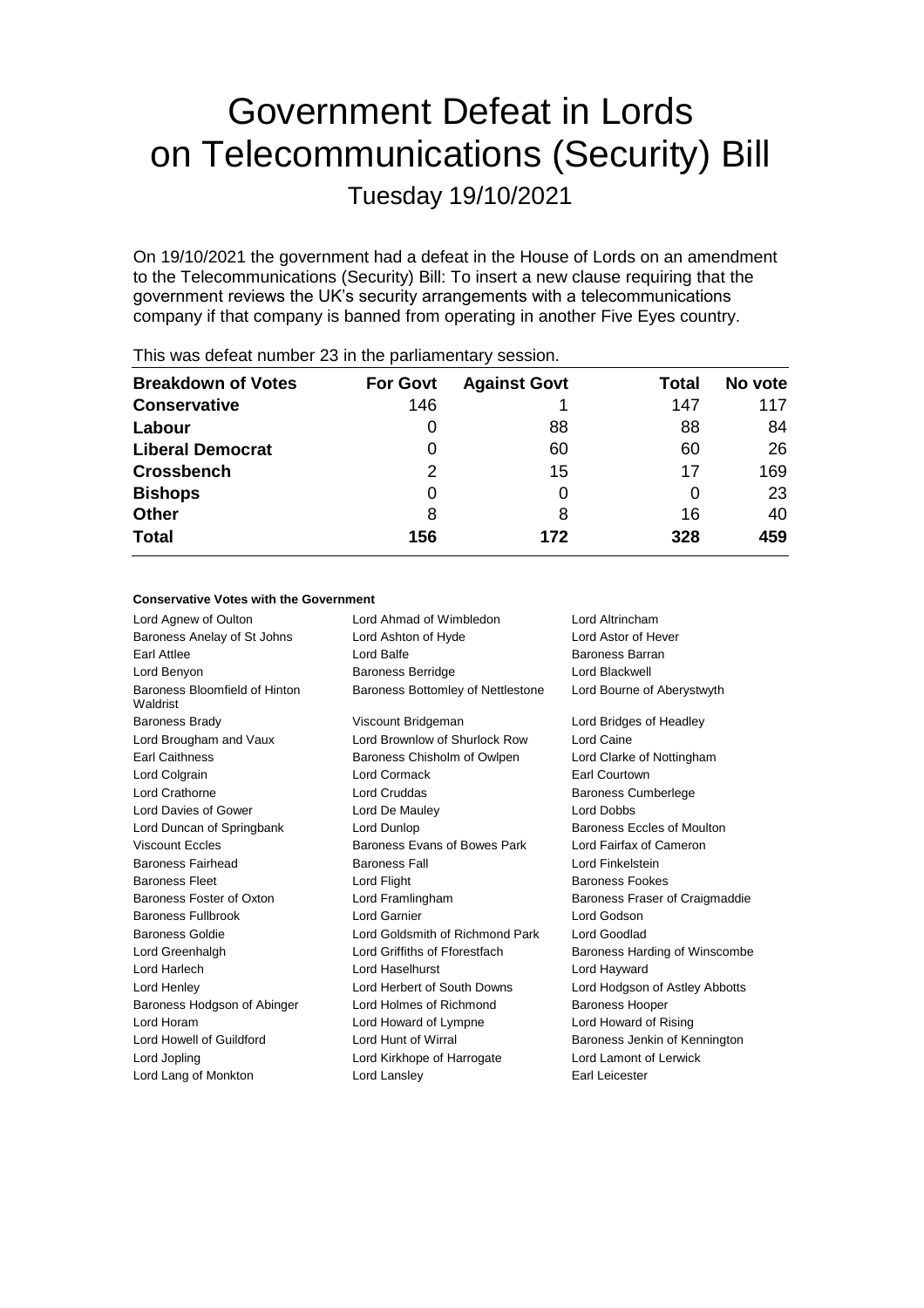# Government Defeat in Lords on Telecommunications (Security) Bill

Tuesday 19/10/2021

On 19/10/2021 the government had a defeat in the House of Lords on an amendment to the Telecommunications (Security) Bill: To insert a new clause requiring that the government reviews the UK's security arrangements with a telecommunications company if that company is banned from operating in another Five Eyes country.

| <b>Breakdown of Votes</b> | <b>For Govt</b> | <b>Against Govt</b> | Total | No vote |
|---------------------------|-----------------|---------------------|-------|---------|
| <b>Conservative</b>       | 146             |                     | 147   | 117     |
| Labour                    | 0               | 88                  | 88    | 84      |
| <b>Liberal Democrat</b>   | 0               | 60                  | 60    | 26      |
| <b>Crossbench</b>         | 2               | 15                  | 17    | 169     |
| <b>Bishops</b>            | 0               | 0                   |       | 23      |
| <b>Other</b>              | 8               | 8                   | 16    | 40      |
| <b>Total</b>              | 156             | 172                 | 328   | 459     |
|                           |                 |                     |       |         |

This was defeat number 23 in the parliamentary session.

#### **Conservative Votes with the Government**

| Lord Agnew of Oulton                      | Lord Ahmad of Wimbledon           | Lord Altrincham                |
|-------------------------------------------|-----------------------------------|--------------------------------|
| Baroness Anelay of St Johns               | Lord Ashton of Hyde               | Lord Astor of Hever            |
| <b>Earl Attlee</b>                        | Lord Balfe                        | <b>Baroness Barran</b>         |
| Lord Benyon                               | <b>Baroness Berridge</b>          | Lord Blackwell                 |
| Baroness Bloomfield of Hinton<br>Waldrist | Baroness Bottomley of Nettlestone | Lord Bourne of Aberystwyth     |
| <b>Baroness Brady</b>                     | Viscount Bridgeman                | Lord Bridges of Headley        |
| Lord Brougham and Vaux                    | Lord Brownlow of Shurlock Row     | Lord Caine                     |
| <b>Earl Caithness</b>                     | Baroness Chisholm of Owlpen       | Lord Clarke of Nottingham      |
| Lord Colgrain                             | Lord Cormack                      | Earl Courtown                  |
| Lord Crathorne                            | Lord Cruddas                      | <b>Baroness Cumberlege</b>     |
| Lord Davies of Gower                      | Lord De Mauley                    | Lord Dobbs                     |
| Lord Duncan of Springbank                 | Lord Dunlop                       | Baroness Eccles of Moulton     |
| <b>Viscount Eccles</b>                    | Baroness Evans of Bowes Park      | Lord Fairfax of Cameron        |
| Baroness Fairhead                         | <b>Baroness Fall</b>              | Lord Finkelstein               |
| <b>Baroness Fleet</b>                     | Lord Flight                       | <b>Baroness Fookes</b>         |
| Baroness Foster of Oxton                  | Lord Framlingham                  | Baroness Fraser of Craigmaddie |
| <b>Baroness Fullbrook</b>                 | Lord Garnier                      | Lord Godson                    |
| Baroness Goldie                           | Lord Goldsmith of Richmond Park   | Lord Goodlad                   |
| Lord Greenhalgh                           | Lord Griffiths of Fforestfach     | Baroness Harding of Winscombe  |
| Lord Harlech                              | Lord Haselhurst                   | Lord Hayward                   |
| Lord Henley                               | Lord Herbert of South Downs       | Lord Hodgson of Astley Abbotts |
| Baroness Hodgson of Abinger               | Lord Holmes of Richmond           | <b>Baroness Hooper</b>         |
| Lord Horam                                | Lord Howard of Lympne             | Lord Howard of Rising          |
| Lord Howell of Guildford                  | Lord Hunt of Wirral               | Baroness Jenkin of Kennington  |
| Lord Jopling                              | Lord Kirkhope of Harrogate        | Lord Lamont of Lerwick         |
| Lord Lang of Monkton                      | Lord Lansley                      | Earl Leicester                 |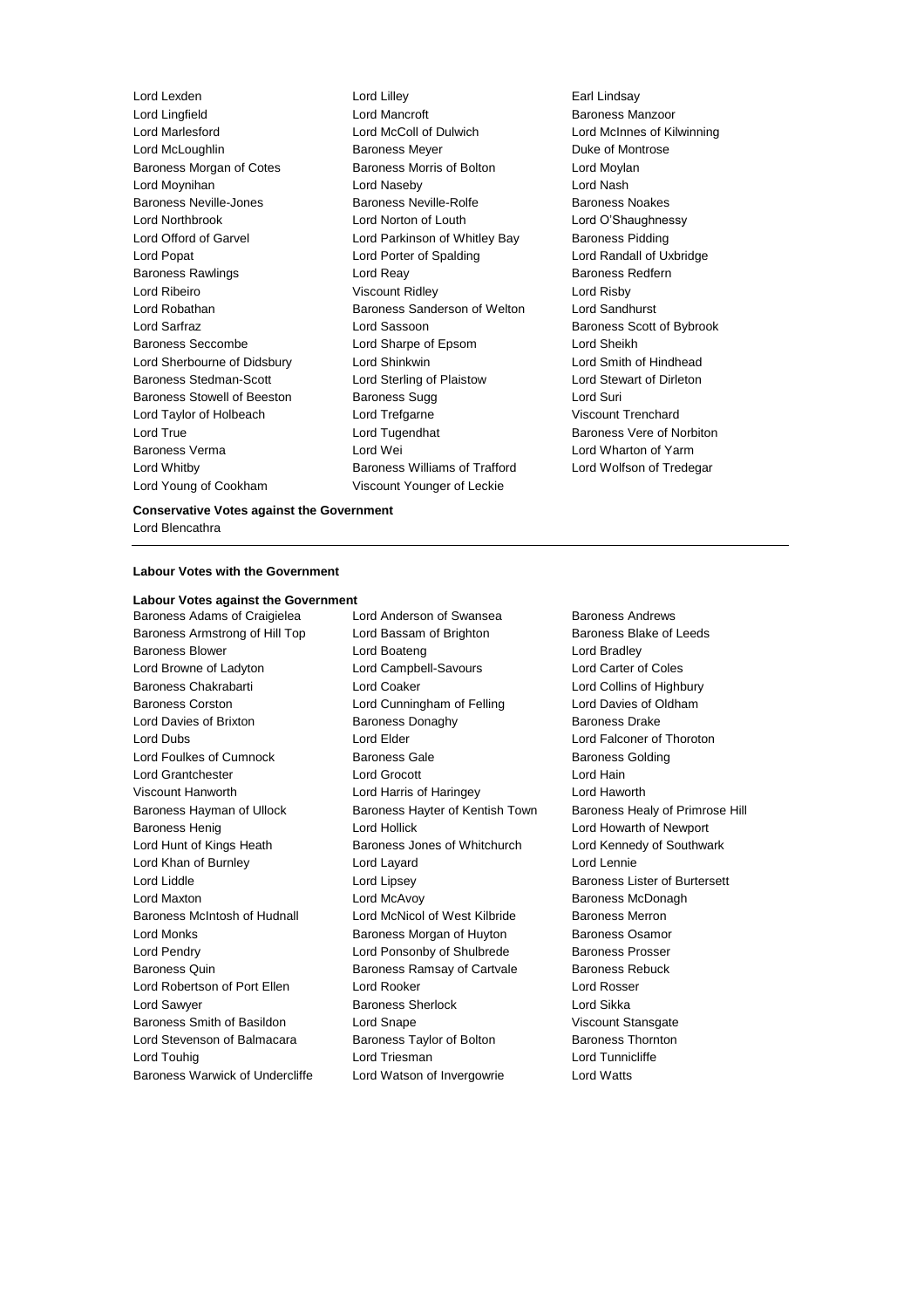Lord Young of Cookham Viscount Younger of Leckie

Lord Lexden Lord Lilley Earl Lindsay Lord Lingfield Lord Mancroft Baroness Manzoor Lord Marlesford Lord McColl of Dulwich Lord McInnes of Kilwinning Lord McLoughlin **Baroness Meyer Duke of Montrose** Baroness Morgan of Cotes **Baroness Morris of Bolton** Lord Moylan Lord Moynihan Lord Naseby Lord Nash Baroness Neville-Jones **Baroness Neville-Rolfe** Baroness Noakes Lord Northbrook Lord Norton of Louth Lord O'Shaughnessy Lord Offord of Garvel **Lord Parkinson of Whitley Bay** Baroness Pidding Lord Popat Lord Porter of Spalding Lord Randall of Uxbridge Baroness Rawlings **Rawlings Lord Reay 19 Search 20 Baroness Redfern** Lord Ribeiro Viscount Ridley Lord Risby Lord Robathan Baroness Sanderson of Welton Lord Sandhurst Lord Sarfraz **Lord Sassoon** Baroness Scott of Bybrook Baroness Seccombe Lord Sharpe of Epsom Lord Sheikh Lord Sherbourne of Didsbury Lord Shinkwin Lord Smith of Hindhead Baroness Stedman-Scott Lord Sterling of Plaistow Lord Stewart of Dirleton Baroness Stowell of Beeston Baroness Sugg Lord Suri Lord Taylor of Holbeach Lord Trefgarne Viscount Trenchard Lord True **Lord Tugendhat** Baroness Vere of Norbiton Baroness Verma Lord Wei Lord Wharton of Yarm Lord Whitby Baroness Williams of Trafford Lord Wolfson of Tredegar

#### **Conservative Votes against the Government** Lord Blencathra

#### **Labour Votes with the Government**

### **Labour Votes against the Government**

Baroness Adams of Craigielea Lord Anderson of Swansea Baroness Andrews Baroness Armstrong of Hill Top Lord Bassam of Brighton Baroness Blake of Leeds Baroness Blower **Lord Boateng** Lord Bradley **Lord Bradley** Lord Browne of Ladyton Lord Campbell-Savours Lord Carter of Coles Baroness Chakrabarti **Lord Coaker** Lord Coaker Lord Collins of Highbury Baroness Corston **Lord Cunningham of Felling** Lord Davies of Oldham Lord Davies of Brixton **Baroness Donaghy** Baroness Davies Drake Lord Dubs Lord Elder Lord Falconer of Thoroton Lord Foulkes of Cumnock Baroness Gale Baroness Golding Lord Grantchester Lord Grocott Lord Hain Viscount Hanworth Lord Harris of Haringey Lord Haworth Baroness Hayman of Ullock Baroness Hayter of Kentish Town Baroness Healy of Primrose Hill Baroness Henig **Lord Hollick** Lord Hollick **Lord Hollick** Lord Howarth of Newport Lord Hunt of Kings Heath Baroness Jones of Whitchurch Lord Kennedy of Southwark Lord Khan of Burnley Lord Layard Lord Lennie Lord Liddle Lord Lipsey Baroness Lister of Burtersett Lord Maxton Lord McAvoy Baroness McDonagh Baroness McIntosh of Hudnall Lord McNicol of West Kilbride Baroness Merron Lord Monks **Baroness Morgan of Huyton** Baroness Osamor Lord Pendry **Lord Ponsonby of Shulbrede** Baroness Prosser Baroness Quin **Baroness Ramsay of Cartvale** Baroness Rebuck Lord Robertson of Port Ellen Lord Rooker Lord Rosser Lord Sawyer **Baroness Sherlock** Lord Sikka Baroness Smith of Basildon Lord Snape Communication Viscount Stansgate Lord Stevenson of Balmacara Baroness Taylor of Bolton Baroness Thornton Lord Touhig **Lord Triesman** Lord Triesman **Lord Tunnicliffe** Baroness Warwick of Undercliffe Lord Watson of Invergowrie Lord Watts